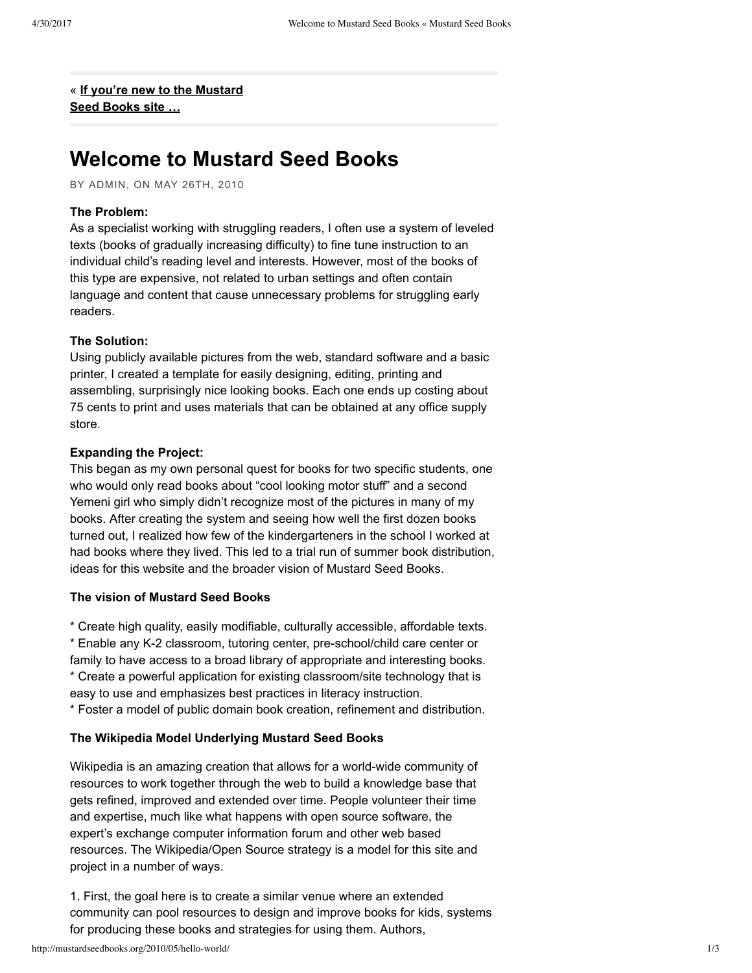« **If you're new to the [Mustard](http://mustardseedbooks.org/2010/07/if-youre-new-to-the-mustard-seed-books-site/) Seed Books site …**

# **Welcome to Mustard Seed Books**

BY ADMIN, ON MAY 26TH, 2010

### **The Problem:**

As a specialist working with struggling readers, I often use a system of leveled texts (books of gradually increasing difficulty) to fine tune instruction to an individual child's reading level and interests. However, most of the books of this type are expensive, not related to urban settings and often contain language and content that cause unnecessary problems for struggling early readers.

#### **The Solution:**

Using publicly available pictures from the web, standard software and a basic printer, I created a template for easily designing, editing, printing and assembling, surprisingly nice looking books. Each one ends up costing about 75 cents to print and uses materials that can be obtained at any office supply store.

#### **Expanding the Project:**

This began as my own personal quest for books for two specific students, one who would only read books about "cool looking motor stuff" and a second Yemeni girl who simply didn't recognize most of the pictures in many of my books. After creating the system and seeing how well the first dozen books turned out, I realized how few of the kindergarteners in the school I worked at had books where they lived. This led to a trial run of summer book distribution, ideas for this website and the broader vision of Mustard Seed Books.

### **The vision of Mustard Seed Books**

\* Create high quality, easily modifiable, culturally accessible, affordable texts.

\* Enable any K2 classroom, tutoring center, preschool/child care center or family to have access to a broad library of appropriate and interesting books.

\* Create a powerful application for existing classroom/site technology that is easy to use and emphasizes best practices in literacy instruction.

\* Foster a model of public domain book creation, refinement and distribution.

#### **The Wikipedia Model Underlying Mustard Seed Books**

Wikipedia is an amazing creation that allows for a world-wide community of resources to work together through the web to build a knowledge base that gets refined, improved and extended over time. People volunteer their time and expertise, much like what happens with open source software, the expert's exchange computer information forum and other web based resources. The Wikipedia/Open Source strategy is a model for this site and project in a number of ways.

1. First, the goal here is to create a similar venue where an extended community can pool resources to design and improve books for kids, systems for producing these books and strategies for using them. Authors,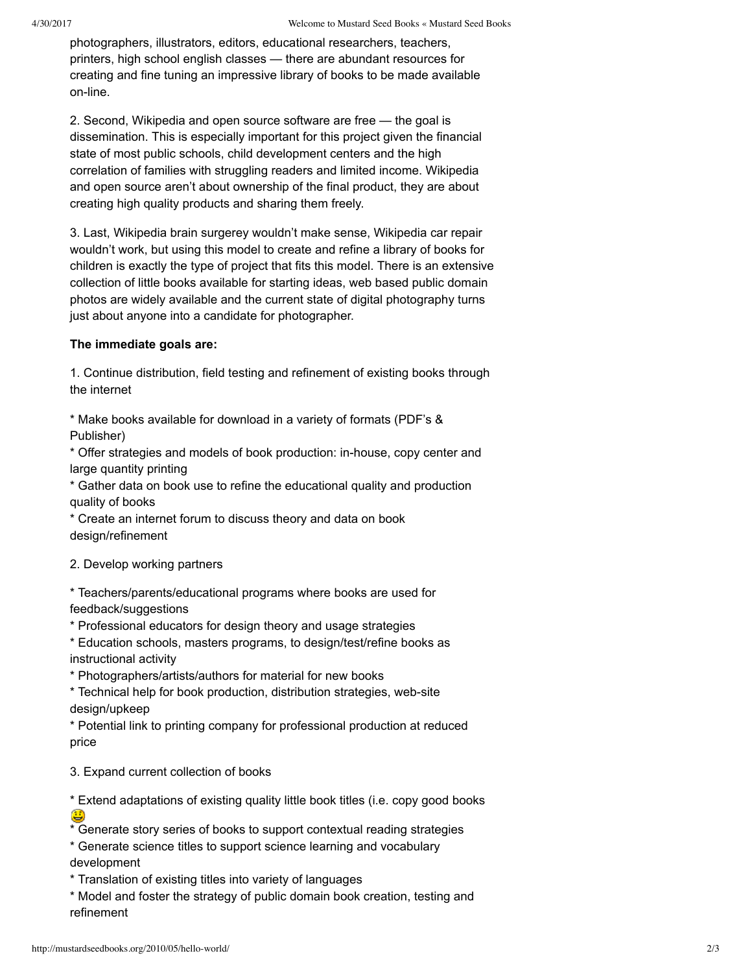photographers, illustrators, editors, educational researchers, teachers, printers, high school english classes — there are abundant resources for creating and fine tuning an impressive library of books to be made available on-line.

2. Second, Wikipedia and open source software are free — the goal is dissemination. This is especially important for this project given the financial state of most public schools, child development centers and the high correlation of families with struggling readers and limited income. Wikipedia and open source aren't about ownership of the final product, they are about creating high quality products and sharing them freely.

3. Last, Wikipedia brain surgerey wouldn't make sense, Wikipedia car repair wouldn't work, but using this model to create and refine a library of books for children is exactly the type of project that fits this model. There is an extensive collection of little books available for starting ideas, web based public domain photos are widely available and the current state of digital photography turns just about anyone into a candidate for photographer.

## **The immediate goals are:**

1. Continue distribution, field testing and refinement of existing books through the internet

\* Make books available for download in a variety of formats (PDF's & Publisher)

\* Offer strategies and models of book production: in-house, copy center and large quantity printing

\* Gather data on book use to refine the educational quality and production quality of books

\* Create an internet forum to discuss theory and data on book design/refinement

2. Develop working partners

\* Teachers/parents/educational programs where books are used for feedback/suggestions

\* Professional educators for design theory and usage strategies

\* Education schools, masters programs, to design/test/refine books as instructional activity

\* Photographers/artists/authors for material for new books

\* Technical help for book production, distribution strategies, web-site design/upkeep

\* Potential link to printing company for professional production at reduced price

3. Expand current collection of books

\* Extend adaptations of existing quality little book titles (i.e. copy good books

\* Generate story series of books to support contextual reading strategies

\* Generate science titles to support science learning and vocabulary development

\* Translation of existing titles into variety of languages

\* Model and foster the strategy of public domain book creation, testing and refinement